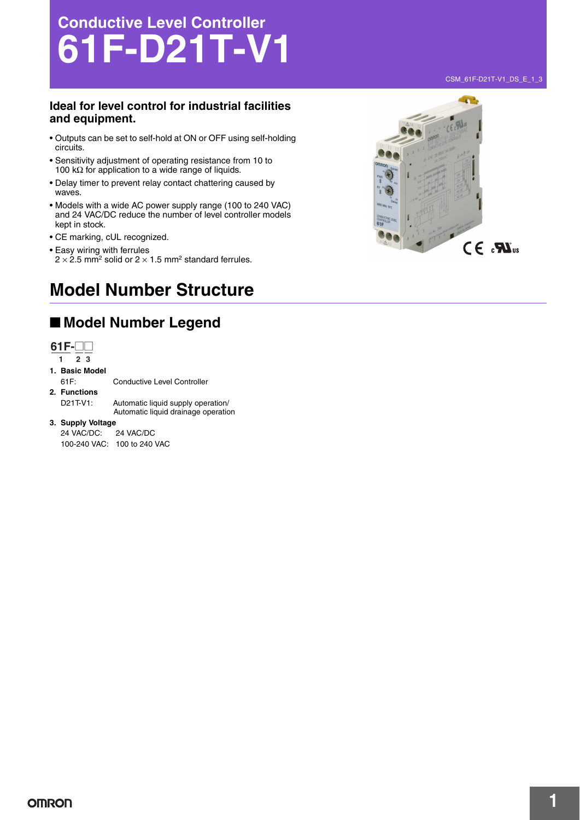# **Conductive Level Controller 61F-D21T-V1**

### **Ideal for level control for industrial facilities and equipment.**

- Outputs can be set to self-hold at ON or OFF using self-holding circuits.
- Sensitivity adjustment of operating resistance from 10 to 100 kΩ for application to a wide range of liquids.
- Delay timer to prevent relay contact chattering caused by waves.
- Models with a wide AC power supply range (100 to 240 VAC) and 24 VAC/DC reduce the number of level controller models kept in stock.
- CE marking, cUL recognized.
- Easy wiring with ferrules
- $2 \times 2.5$  mm<sup>2</sup> solid or  $2 \times 1.5$  mm<sup>2</sup> standard ferrules.

## **Model Number Structure**

## ■ **Model Number Legend**



- **1. Basic Model** 61F: Conductive Level Controller **2. Functions** D21T-V1: Automatic liquid supply operation/ Automatic liquid drainage operation
- **3. Supply Voltage**

24 VAC/DC: 24 VAC/DC 100-240 VAC: 100 to 240 VAC



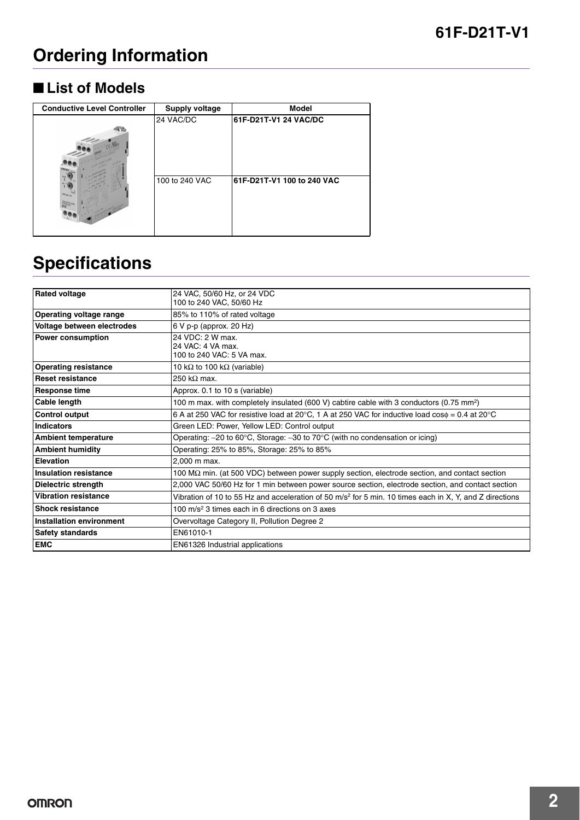# **Ordering Information**

## ■ **List of Models**

| <b>Conductive Level Controller</b> | <b>Supply voltage</b> | <b>Model</b>               |
|------------------------------------|-----------------------|----------------------------|
|                                    | 24 VAC/DC             | 61F-D21T-V1 24 VAC/DC      |
|                                    | 100 to 240 VAC        | 61F-D21T-V1 100 to 240 VAC |

# **Specifications**

| <b>Rated voltage</b>            | 24 VAC, 50/60 Hz, or 24 VDC                                                                               |  |
|---------------------------------|-----------------------------------------------------------------------------------------------------------|--|
|                                 | 100 to 240 VAC, 50/60 Hz                                                                                  |  |
| Operating voltage range         | 85% to 110% of rated voltage                                                                              |  |
| Voltage between electrodes      | 6 V p-p (approx. 20 Hz)                                                                                   |  |
| <b>Power consumption</b>        | 24 VDC: 2 W max.                                                                                          |  |
|                                 | 24 VAC: 4 VA max.                                                                                         |  |
|                                 | 100 to 240 VAC: 5 VA max.                                                                                 |  |
| <b>Operating resistance</b>     | 10 k $\Omega$ to 100 k $\Omega$ (variable)                                                                |  |
| <b>Reset resistance</b>         | 250 k $\Omega$ max.                                                                                       |  |
| <b>Response time</b>            | Approx. 0.1 to 10 s (variable)                                                                            |  |
| Cable length                    | 100 m max. with completely insulated (600 V) cabtire cable with 3 conductors (0.75 mm <sup>2</sup> )      |  |
| <b>Control output</b>           | 6 A at 250 VAC for resistive load at 20°C, 1 A at 250 VAC for inductive load $\cos\phi = 0.4$ at 20°C     |  |
| <b>Indicators</b>               | Green LED: Power, Yellow LED: Control output                                                              |  |
| <b>Ambient temperature</b>      | Operating: $-20$ to 60°C, Storage: $-30$ to 70°C (with no condensation or icing)                          |  |
| <b>Ambient humidity</b>         | Operating: 25% to 85%, Storage: 25% to 85%                                                                |  |
| <b>Elevation</b>                | 2.000 m max.                                                                                              |  |
| <b>Insulation resistance</b>    | 100 M $\Omega$ min. (at 500 VDC) between power supply section, electrode section, and contact section     |  |
| <b>Dielectric strength</b>      | 2,000 VAC 50/60 Hz for 1 min between power source section, electrode section, and contact section         |  |
| <b>Vibration resistance</b>     | Vibration of 10 to 55 Hz and acceleration of 50 $m/s2$ for 5 min. 10 times each in X, Y, and Z directions |  |
| <b>Shock resistance</b>         | 100 m/s <sup>2</sup> 3 times each in 6 directions on 3 axes                                               |  |
| <b>Installation environment</b> | Overvoltage Category II, Pollution Degree 2                                                               |  |
| <b>Safety standards</b>         | EN61010-1                                                                                                 |  |
| <b>EMC</b>                      | EN61326 Industrial applications                                                                           |  |
|                                 |                                                                                                           |  |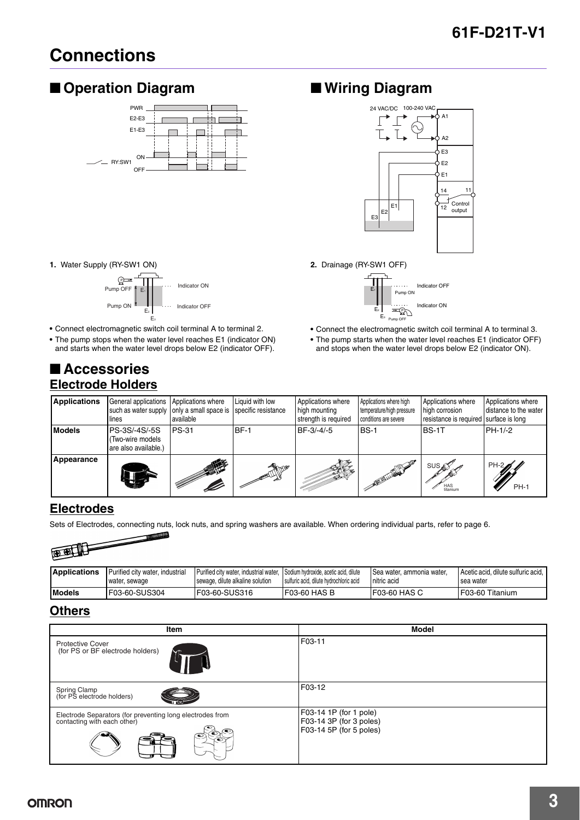## **Connections**

## ■ **Operation Diagram** ■ **Wiring Diagram**



#### **1.** Water Supply (RY-SW1 ON)



**•** Connect electromagnetic switch coil terminal A to terminal 2.

**•** The pump stops when the water level reaches E1 (indicator ON) and starts when the water level drops below E2 (indicator OFF).

## ■ **Accessories Electrode Holders**



**2.** Drainage (RY-SW1 OFF)



- **•** Connect the electromagnetic switch coil terminal A to terminal 3.
- **•** The pump starts when the water level reaches E1 (indicator OFF) and stops when the water level drops below E2 (indicator ON).

| <b>Applications</b> | General applications<br>such as water supply only a small space is<br>lines | Applications where<br>available | Liquid with low<br>specific resistance | Applications where<br>high mounting<br>strength is required | Applications where high<br>temperature/high pressure<br>conditions are severe | Applications where<br>high corrosion<br>resistance is required surface is long | Applications where<br>distance to the water |
|---------------------|-----------------------------------------------------------------------------|---------------------------------|----------------------------------------|-------------------------------------------------------------|-------------------------------------------------------------------------------|--------------------------------------------------------------------------------|---------------------------------------------|
| <b>Models</b>       | PS-3S/-4S/-5S<br>(Two-wire models<br>are also available.)                   | <b>PS-31</b>                    | BF-1                                   | BF-3/-4/-5                                                  | <b>BS-1</b>                                                                   | BS-1T                                                                          | PH-1/-2                                     |
| Appearance          |                                                                             |                                 | <b>TANOR</b>                           | A                                                           | A BUILTON AND A                                                               | SUS ∡<br>HAS<br>titanium                                                       | <b>PH-2</b><br>$PH-1$                       |

### **Electrodes**

Sets of Electrodes, connecting nuts, lock nuts, and spring washers are available. When ordering individual parts, refer to page 6.



| <b>Applications</b> | Purified city water, industrial<br>water, sewage | Purified city water, industrial water, Sodium hydroxide, acetic acid, dilute<br>sewage, dilute alkaline solution | sulfuric acid, dilute hydrochloric acid | l Sea water, ammonia water.<br>nitric acid | Acetic acid, dilute sulfuric acid.<br>l sea water |
|---------------------|--------------------------------------------------|------------------------------------------------------------------------------------------------------------------|-----------------------------------------|--------------------------------------------|---------------------------------------------------|
| <b>I</b> Models     | F03-60-SUS304                                    | F03-60-SUS316                                                                                                    | I F03-60 HAS B                          | I F03-60 HAS C                             | IF03-60 Titanium                                  |

### **Others**

| <b>Item</b>                                                                                                                     | <b>Model</b>                                                                 |
|---------------------------------------------------------------------------------------------------------------------------------|------------------------------------------------------------------------------|
| <b>Protective Cover</b><br>(for PS or BF electrode holders)                                                                     | F03-11                                                                       |
| Spring Clamp<br>(for PS electrode holders)                                                                                      | F03-12                                                                       |
| Electrode Separators (for preventing long electrodes from<br>contacting with each other)<br>$\mathcal{D}(\mathbb{C})$<br>◉<br>ື | F03-14 1P (for 1 pole)<br>F03-14 3P (for 3 poles)<br>F03-14 5P (for 5 poles) |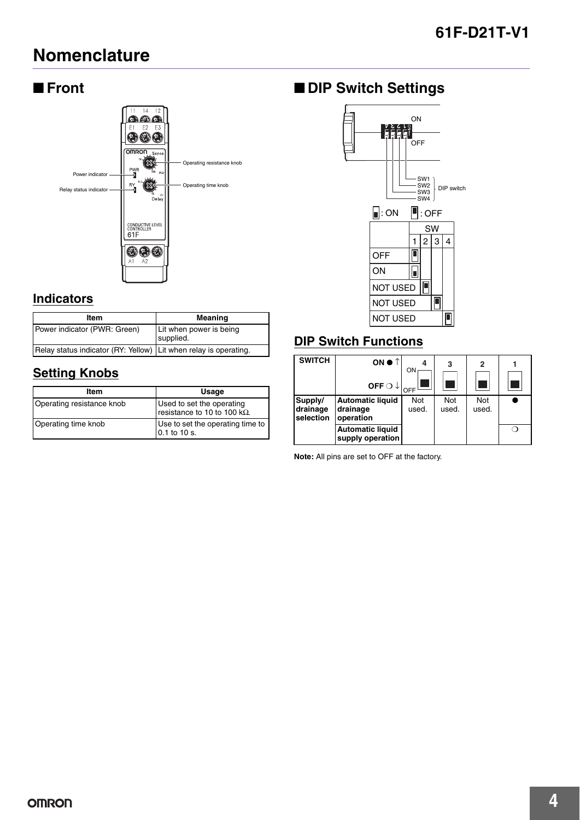## **Nomenclature**

## ■ **Front**



### **Indicators**

| Item                                                             | Meaning                              |
|------------------------------------------------------------------|--------------------------------------|
| Power indicator (PWR: Green)                                     | Lit when power is being<br>supplied. |
| Relay status indicator (RY: Yellow) Lit when relay is operating. |                                      |

## **Setting Knobs**

| Item                      | Usage                                                            |
|---------------------------|------------------------------------------------------------------|
| Operating resistance knob | Used to set the operating<br>resistance to 10 to 100 $k\Omega$ . |
| Operating time knob       | Use to set the operating time to<br>0.1 to 10 s.                 |

## ■ **DIP Switch Settings**



## **DIP Switch Functions**

| <b>SWITCH</b>                    | ON $\bullet$ $\uparrow$<br>OFF $\bigcirc \downarrow$ | ON           | 3            | $\overline{2}$ |  |
|----------------------------------|------------------------------------------------------|--------------|--------------|----------------|--|
| Supply/<br>drainage<br>selection | <b>Automatic liquid</b><br>drainage<br>operation     | Not<br>used. | Not<br>used. | Not<br>used.   |  |
|                                  | <b>Automatic liquid</b><br>supply operation          |              |              |                |  |

**Note:** All pins are set to OFF at the factory.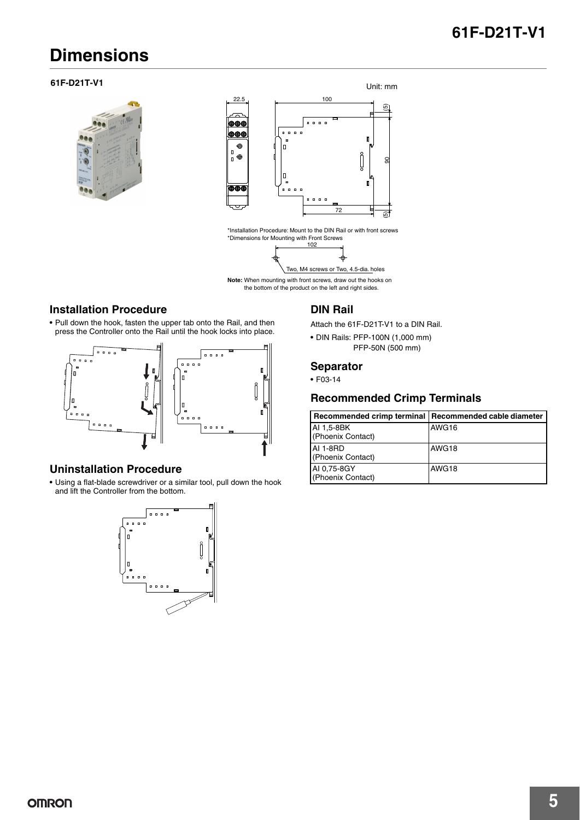## **61F-D21T-V1**

## **Dimensions**





\*Installation Procedure: Mount to the DIN Rail or with front screws \*Dimensions for Mounting with Front Screws 102



Note: When mounting with front screws, draw out the hooks on the bottom of the product on the left and right sides.

#### **Installation Procedure**

**•** Pull down the hook, fasten the upper tab onto the Rail, and then press the Controller onto the Rail until the hook locks into place.



#### **Uninstallation Procedure**

**•** Using a flat-blade screwdriver or a similar tool, pull down the hook and lift the Controller from the bottom.



#### **DIN Rail**

- Attach the 61F-D21T-V1 to a DIN Rail.
- **•** DIN Rails: PFP-100N (1,000 mm) PFP-50N (500 mm)

#### **Separator**

**•** F03-14

#### **Recommended Crimp Terminals**

| Recommended crimp terminal       | Recommended cable diameter |
|----------------------------------|----------------------------|
| AI 1.5-8BK<br>(Phoenix Contact)  | AWG16                      |
| AI 1-8RD<br>(Phoenix Contact)    | AWG18                      |
| AI 0.75-8GY<br>(Phoenix Contact) | AWG18                      |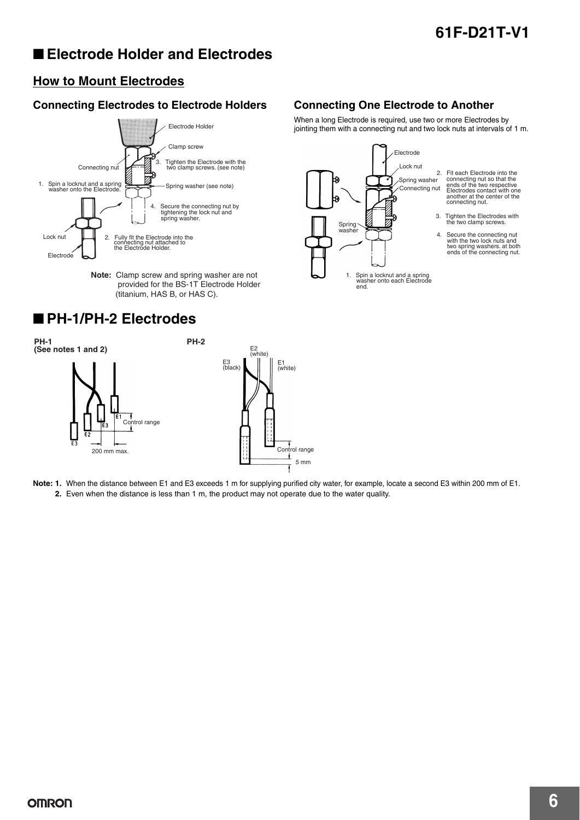## ■ **Electrode Holder and Electrodes**

### **How to Mount Electrodes**

### **Connecting Electrodes to Electrode Holders Connecting One Electrode to Another**



**Note:** Clamp screw and spring washer are not provided for the BS-1T Electrode Holder (titanium, HAS B, or HAS C).

## ■ **PH-1/PH-2 Electrodes**



When a long Electrode is required, use two or more Electrodes by jointing them with a connecting nut and two lock nuts at intervals of 1 m.



**Note: 1.** When the distance between E1 and E3 exceeds 1 m for supplying purified city water, for example, locate a second E3 within 200 mm of E1. **2.** Even when the distance is less than 1 m, the product may not operate due to the water quality.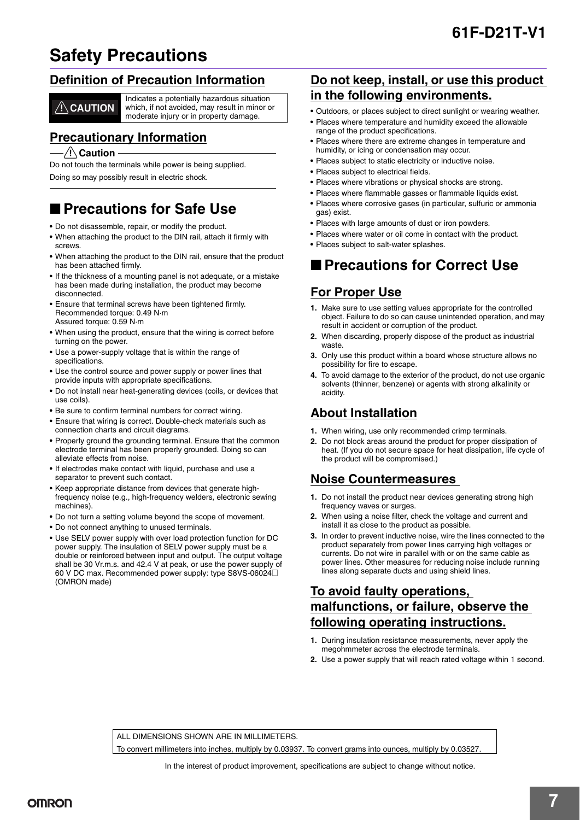## **Safety Precautions**

### **Definition of Precaution Information**

Indicates a potentially hazardous situation which, if not avoided, may result in minor or **CAUTION** which, if not avoided, may result in minimoderate injury or in property damage.

### **Precautionary Information**

#### $\sqrt{N}$  Caution

Do not touch the terminals while power is being supplied.

Doing so may possibly result in electric shock.

## ■ **Precautions for Safe Use**

- **•** Do not disassemble, repair, or modify the product.
- **•** When attaching the product to the DIN rail, attach it firmly with screws.
- **•** When attaching the product to the DIN rail, ensure that the product has been attached firmly.
- **•** If the thickness of a mounting panel is not adequate, or a mistake has been made during installation, the product may become disconnected.
- **•** Ensure that terminal screws have been tightened firmly. Recommended torque: 0.49 N·m Assured torque: 0.59 N·m
- **•** When using the product, ensure that the wiring is correct before turning on the power.
- **•** Use a power-supply voltage that is within the range of specifications.
- **•** Use the control source and power supply or power lines that provide inputs with appropriate specifications.
- **•** Do not install near heat-generating devices (coils, or devices that use coils).
- **•** Be sure to confirm terminal numbers for correct wiring.
- **•** Ensure that wiring is correct. Double-check materials such as connection charts and circuit diagrams.
- **•** Properly ground the grounding terminal. Ensure that the common electrode terminal has been properly grounded. Doing so can alleviate effects from noise.
- **•** If electrodes make contact with liquid, purchase and use a separator to prevent such contact.
- **•** Keep appropriate distance from devices that generate highfrequency noise (e.g., high-frequency welders, electronic sewing machines).
- **•** Do not turn a setting volume beyond the scope of movement.
- **•** Do not connect anything to unused terminals.
- **•** Use SELV power supply with over load protection function for DC power supply. The insulation of SELV power supply must be a double or reinforced between input and output. The output voltage shall be 30 Vr.m.s. and 42.4 V at peak, or use the power supply of 60 V DC max. Recommended power supply: type S8VS-06024@ (OMRON made)

### **Do not keep, install, or use this product in the following environments.**

- **•** Outdoors, or places subject to direct sunlight or wearing weather.
- **•** Places where temperature and humidity exceed the allowable range of the product specifications.
- **•** Places where there are extreme changes in temperature and humidity, or icing or condensation may occur.
- **•** Places subject to static electricity or inductive noise.
- **•** Places subject to electrical fields.
- **•** Places where vibrations or physical shocks are strong.
- **•** Places where flammable gasses or flammable liquids exist.
- **•** Places where corrosive gases (in particular, sulfuric or ammonia gas) exist.
- **•** Places with large amounts of dust or iron powders.
- **•** Places where water or oil come in contact with the product.
- **•** Places subject to salt-water splashes.

## ■ **Precautions for Correct Use**

## **For Proper Use**

- **1.** Make sure to use setting values appropriate for the controlled object. Failure to do so can cause unintended operation, and may result in accident or corruption of the product.
- **2.** When discarding, properly dispose of the product as industrial waste.
- **3.** Only use this product within a board whose structure allows no possibility for fire to escape.
- **4.** To avoid damage to the exterior of the product, do not use organic solvents (thinner, benzene) or agents with strong alkalinity or acidity.

## **About Installation**

- **1.** When wiring, use only recommended crimp terminals.
- **2.** Do not block areas around the product for proper dissipation of heat. (If you do not secure space for heat dissipation, life cycle of the product will be compromised.)

### **Noise Countermeasures**

- **1.** Do not install the product near devices generating strong high frequency waves or surges.
- **2.** When using a noise filter, check the voltage and current and install it as close to the product as possible.
- **3.** In order to prevent inductive noise, wire the lines connected to the product separately from power lines carrying high voltages or currents. Do not wire in parallel with or on the same cable as power lines. Other measures for reducing noise include running lines along separate ducts and using shield lines.

## **To avoid faulty operations, malfunctions, or failure, observe the following operating instructions.**

- **1.** During insulation resistance measurements, never apply the megohmmeter across the electrode terminals.
- **2.** Use a power supply that will reach rated voltage within 1 second.

ALL DIMENSIONS SHOWN ARE IN MILLIMETERS.

To convert millimeters into inches, multiply by 0.03937. To convert grams into ounces, multiply by 0.03527.

In the interest of product improvement, specifications are subject to change without notice.